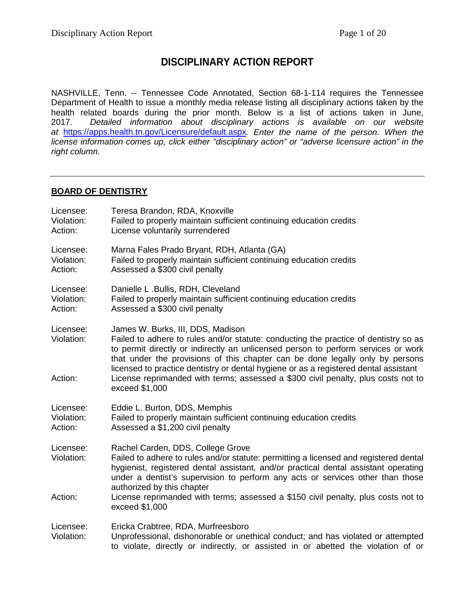# **DISCIPLINARY ACTION REPORT**

NASHVILLE, Tenn. -- Tennessee Code Annotated, Section 68-1-114 requires the Tennessee Department of Health to issue a monthly media release listing all disciplinary actions taken by the health related boards during the prior month. Below is a list of actions taken in June,<br>2017. Detailed information about disciplinary actions is available on our website 2017. *Detailed information about disciplinary actions is available on our website at* <https://apps.health.tn.gov/Licensure/default.aspx>*. Enter the name of the person. When the license information comes up, click either "disciplinary action" or "adverse licensure action" in the right column.*

# **BOARD OF DENTISTRY**

| Licensee:<br>Violation:<br>Action: | Teresa Brandon, RDA, Knoxville<br>Failed to properly maintain sufficient continuing education credits<br>License voluntarily surrendered                                                                                                                                                                                                                                                |
|------------------------------------|-----------------------------------------------------------------------------------------------------------------------------------------------------------------------------------------------------------------------------------------------------------------------------------------------------------------------------------------------------------------------------------------|
| Licensee:<br>Violation:<br>Action: | Marna Fales Prado Bryant, RDH, Atlanta (GA)<br>Failed to properly maintain sufficient continuing education credits<br>Assessed a \$300 civil penalty                                                                                                                                                                                                                                    |
| Licensee:<br>Violation:<br>Action: | Danielle L. Bullis, RDH, Cleveland<br>Failed to properly maintain sufficient continuing education credits<br>Assessed a \$300 civil penalty                                                                                                                                                                                                                                             |
| Licensee:<br>Violation:            | James W. Burks, III, DDS, Madison<br>Failed to adhere to rules and/or statute: conducting the practice of dentistry so as<br>to permit directly or indirectly an unlicensed person to perform services or work<br>that under the provisions of this chapter can be done legally only by persons<br>licensed to practice dentistry or dental hygiene or as a registered dental assistant |
| Action:                            | License reprimanded with terms; assessed a \$300 civil penalty, plus costs not to<br>exceed \$1,000                                                                                                                                                                                                                                                                                     |
| Licensee:<br>Violation:<br>Action: | Eddie L. Burton, DDS, Memphis<br>Failed to properly maintain sufficient continuing education credits<br>Assessed a \$1,200 civil penalty                                                                                                                                                                                                                                                |
| Licensee:<br>Violation:            | Rachel Carden, DDS, College Grove<br>Failed to adhere to rules and/or statute: permitting a licensed and registered dental<br>hygienist, registered dental assistant, and/or practical dental assistant operating<br>under a dentist's supervision to perform any acts or services other than those<br>authorized by this chapter                                                       |
| Action:                            | License reprimanded with terms; assessed a \$150 civil penalty, plus costs not to<br>exceed \$1,000                                                                                                                                                                                                                                                                                     |
| Licensee:<br>Violation:            | Ericka Crabtree, RDA, Murfreesboro<br>Unprofessional, dishonorable or unethical conduct; and has violated or attempted<br>to violate, directly or indirectly, or assisted in or abetted the violation of or                                                                                                                                                                             |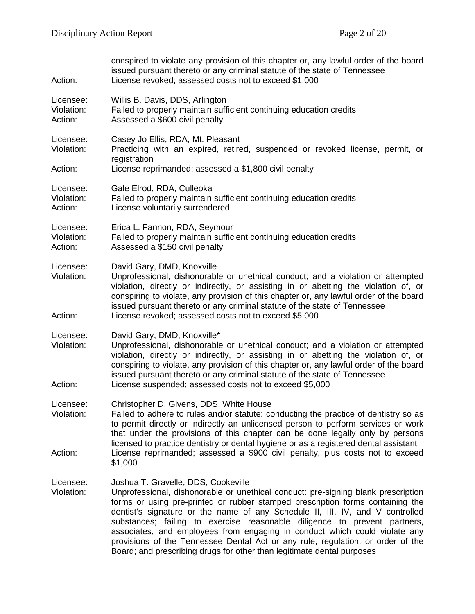| Action:                            | conspired to violate any provision of this chapter or, any lawful order of the board<br>issued pursuant thereto or any criminal statute of the state of Tennessee<br>License revoked; assessed costs not to exceed \$1,000                                                                                                                                                                                                                                                                                                                                                                                          |
|------------------------------------|---------------------------------------------------------------------------------------------------------------------------------------------------------------------------------------------------------------------------------------------------------------------------------------------------------------------------------------------------------------------------------------------------------------------------------------------------------------------------------------------------------------------------------------------------------------------------------------------------------------------|
| Licensee:<br>Violation:<br>Action: | Willis B. Davis, DDS, Arlington<br>Failed to properly maintain sufficient continuing education credits<br>Assessed a \$600 civil penalty                                                                                                                                                                                                                                                                                                                                                                                                                                                                            |
| Licensee:<br>Violation:            | Casey Jo Ellis, RDA, Mt. Pleasant<br>Practicing with an expired, retired, suspended or revoked license, permit, or<br>registration                                                                                                                                                                                                                                                                                                                                                                                                                                                                                  |
| Action:                            | License reprimanded; assessed a \$1,800 civil penalty                                                                                                                                                                                                                                                                                                                                                                                                                                                                                                                                                               |
| Licensee:<br>Violation:<br>Action: | Gale Elrod, RDA, Culleoka<br>Failed to properly maintain sufficient continuing education credits<br>License voluntarily surrendered                                                                                                                                                                                                                                                                                                                                                                                                                                                                                 |
| Licensee:<br>Violation:<br>Action: | Erica L. Fannon, RDA, Seymour<br>Failed to properly maintain sufficient continuing education credits<br>Assessed a \$150 civil penalty                                                                                                                                                                                                                                                                                                                                                                                                                                                                              |
| Licensee:<br>Violation:<br>Action: | David Gary, DMD, Knoxville<br>Unprofessional, dishonorable or unethical conduct; and a violation or attempted<br>violation, directly or indirectly, or assisting in or abetting the violation of, or<br>conspiring to violate, any provision of this chapter or, any lawful order of the board<br>issued pursuant thereto or any criminal statute of the state of Tennessee<br>License revoked; assessed costs not to exceed \$5,000                                                                                                                                                                                |
| Licensee:<br>Violation:<br>Action: | David Gary, DMD, Knoxville*<br>Unprofessional, dishonorable or unethical conduct; and a violation or attempted<br>violation, directly or indirectly, or assisting in or abetting the violation of, or<br>conspiring to violate, any provision of this chapter or, any lawful order of the board<br>issued pursuant thereto or any criminal statute of the state of Tennessee<br>License suspended; assessed costs not to exceed \$5,000                                                                                                                                                                             |
| Licensee:<br>Violation:<br>Action: | Christopher D. Givens, DDS, White House<br>Failed to adhere to rules and/or statute: conducting the practice of dentistry so as<br>to permit directly or indirectly an unlicensed person to perform services or work<br>that under the provisions of this chapter can be done legally only by persons<br>licensed to practice dentistry or dental hygiene or as a registered dental assistant<br>License reprimanded; assessed a \$900 civil penalty, plus costs not to exceed                                                                                                                                      |
|                                    | \$1,000                                                                                                                                                                                                                                                                                                                                                                                                                                                                                                                                                                                                             |
| Licensee:<br>Violation:            | Joshua T. Gravelle, DDS, Cookeville<br>Unprofessional, dishonorable or unethical conduct: pre-signing blank prescription<br>forms or using pre-printed or rubber stamped prescription forms containing the<br>dentist's signature or the name of any Schedule II, III, IV, and V controlled<br>substances; failing to exercise reasonable diligence to prevent partners,<br>associates, and employees from engaging in conduct which could violate any<br>provisions of the Tennessee Dental Act or any rule, regulation, or order of the<br>Board; and prescribing drugs for other than legitimate dental purposes |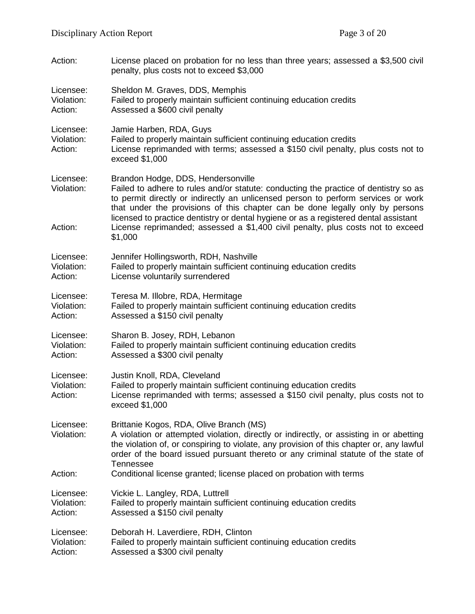| Action:                            | License placed on probation for no less than three years; assessed a \$3,500 civil<br>penalty, plus costs not to exceed \$3,000                                                                                                                                                                                                                                                                                                                                                        |  |
|------------------------------------|----------------------------------------------------------------------------------------------------------------------------------------------------------------------------------------------------------------------------------------------------------------------------------------------------------------------------------------------------------------------------------------------------------------------------------------------------------------------------------------|--|
| Licensee:                          | Sheldon M. Graves, DDS, Memphis                                                                                                                                                                                                                                                                                                                                                                                                                                                        |  |
| Violation:                         | Failed to properly maintain sufficient continuing education credits                                                                                                                                                                                                                                                                                                                                                                                                                    |  |
| Action:                            | Assessed a \$600 civil penalty                                                                                                                                                                                                                                                                                                                                                                                                                                                         |  |
| Licensee:<br>Violation:<br>Action: | Jamie Harben, RDA, Guys<br>Failed to properly maintain sufficient continuing education credits<br>License reprimanded with terms; assessed a \$150 civil penalty, plus costs not to<br>exceed \$1,000                                                                                                                                                                                                                                                                                  |  |
| Licensee:<br>Violation:<br>Action: | Brandon Hodge, DDS, Hendersonville<br>Failed to adhere to rules and/or statute: conducting the practice of dentistry so as<br>to permit directly or indirectly an unlicensed person to perform services or work<br>that under the provisions of this chapter can be done legally only by persons<br>licensed to practice dentistry or dental hygiene or as a registered dental assistant<br>License reprimanded; assessed a \$1,400 civil penalty, plus costs not to exceed<br>\$1,000 |  |
| Licensee:                          | Jennifer Hollingsworth, RDH, Nashville                                                                                                                                                                                                                                                                                                                                                                                                                                                 |  |
| Violation:                         | Failed to properly maintain sufficient continuing education credits                                                                                                                                                                                                                                                                                                                                                                                                                    |  |
| Action:                            | License voluntarily surrendered                                                                                                                                                                                                                                                                                                                                                                                                                                                        |  |
| Licensee:                          | Teresa M. Illobre, RDA, Hermitage                                                                                                                                                                                                                                                                                                                                                                                                                                                      |  |
| Violation:                         | Failed to properly maintain sufficient continuing education credits                                                                                                                                                                                                                                                                                                                                                                                                                    |  |
| Action:                            | Assessed a \$150 civil penalty                                                                                                                                                                                                                                                                                                                                                                                                                                                         |  |
| Licensee:                          | Sharon B. Josey, RDH, Lebanon                                                                                                                                                                                                                                                                                                                                                                                                                                                          |  |
| Violation:                         | Failed to properly maintain sufficient continuing education credits                                                                                                                                                                                                                                                                                                                                                                                                                    |  |
| Action:                            | Assessed a \$300 civil penalty                                                                                                                                                                                                                                                                                                                                                                                                                                                         |  |
| Licensee:<br>Violation:<br>Action: | Justin Knoll, RDA, Cleveland<br>Failed to properly maintain sufficient continuing education credits<br>License reprimanded with terms; assessed a \$150 civil penalty, plus costs not to<br>exceed \$1,000                                                                                                                                                                                                                                                                             |  |
| Licensee:<br>Violation:            | Brittanie Kogos, RDA, Olive Branch (MS)<br>A violation or attempted violation, directly or indirectly, or assisting in or abetting<br>the violation of, or conspiring to violate, any provision of this chapter or, any lawful<br>order of the board issued pursuant thereto or any criminal statute of the state of<br><b>Tennessee</b>                                                                                                                                               |  |
| Action:                            | Conditional license granted; license placed on probation with terms                                                                                                                                                                                                                                                                                                                                                                                                                    |  |
| Licensee:                          | Vickie L. Langley, RDA, Luttrell                                                                                                                                                                                                                                                                                                                                                                                                                                                       |  |
| Violation:                         | Failed to properly maintain sufficient continuing education credits                                                                                                                                                                                                                                                                                                                                                                                                                    |  |
| Action:                            | Assessed a \$150 civil penalty                                                                                                                                                                                                                                                                                                                                                                                                                                                         |  |
| Licensee:                          | Deborah H. Laverdiere, RDH, Clinton                                                                                                                                                                                                                                                                                                                                                                                                                                                    |  |
| Violation:                         | Failed to properly maintain sufficient continuing education credits                                                                                                                                                                                                                                                                                                                                                                                                                    |  |
| Action:                            | Assessed a \$300 civil penalty                                                                                                                                                                                                                                                                                                                                                                                                                                                         |  |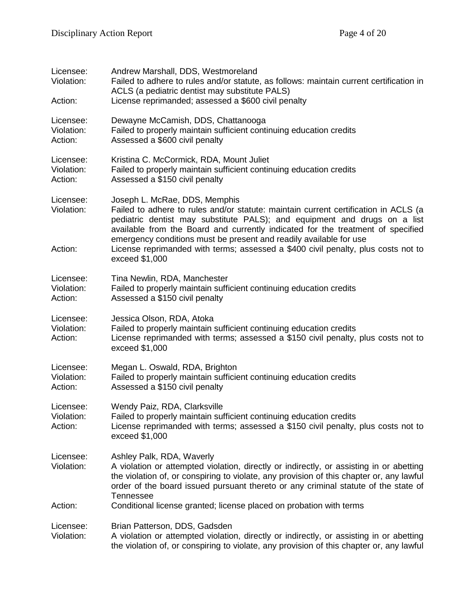| Licensee:<br>Violation:<br>Action: | Andrew Marshall, DDS, Westmoreland<br>Failed to adhere to rules and/or statute, as follows: maintain current certification in<br>ACLS (a pediatric dentist may substitute PALS)<br>License reprimanded; assessed a \$600 civil penalty                                                                                                                                                                                                                            |
|------------------------------------|-------------------------------------------------------------------------------------------------------------------------------------------------------------------------------------------------------------------------------------------------------------------------------------------------------------------------------------------------------------------------------------------------------------------------------------------------------------------|
| Licensee:<br>Violation:<br>Action: | Dewayne McCamish, DDS, Chattanooga<br>Failed to properly maintain sufficient continuing education credits<br>Assessed a \$600 civil penalty                                                                                                                                                                                                                                                                                                                       |
| Licensee:<br>Violation:<br>Action: | Kristina C. McCormick, RDA, Mount Juliet<br>Failed to properly maintain sufficient continuing education credits<br>Assessed a \$150 civil penalty                                                                                                                                                                                                                                                                                                                 |
| Licensee:<br>Violation:<br>Action: | Joseph L. McRae, DDS, Memphis<br>Failed to adhere to rules and/or statute: maintain current certification in ACLS (a<br>pediatric dentist may substitute PALS); and equipment and drugs on a list<br>available from the Board and currently indicated for the treatment of specified<br>emergency conditions must be present and readily available for use<br>License reprimanded with terms; assessed a \$400 civil penalty, plus costs not to<br>exceed \$1,000 |
| Licensee:<br>Violation:<br>Action: | Tina Newlin, RDA, Manchester<br>Failed to properly maintain sufficient continuing education credits<br>Assessed a \$150 civil penalty                                                                                                                                                                                                                                                                                                                             |
| Licensee:<br>Violation:<br>Action: | Jessica Olson, RDA, Atoka<br>Failed to properly maintain sufficient continuing education credits<br>License reprimanded with terms; assessed a \$150 civil penalty, plus costs not to<br>exceed \$1,000                                                                                                                                                                                                                                                           |
| Licensee:<br>Violation:<br>Action: | Megan L. Oswald, RDA, Brighton<br>Failed to properly maintain sufficient continuing education credits<br>Assessed a \$150 civil penalty                                                                                                                                                                                                                                                                                                                           |
| Licensee:<br>Violation:<br>Action: | Wendy Paiz, RDA, Clarksville<br>Failed to properly maintain sufficient continuing education credits<br>License reprimanded with terms; assessed a \$150 civil penalty, plus costs not to<br>exceed \$1,000                                                                                                                                                                                                                                                        |
| Licensee:<br>Violation:            | Ashley Palk, RDA, Waverly<br>A violation or attempted violation, directly or indirectly, or assisting in or abetting<br>the violation of, or conspiring to violate, any provision of this chapter or, any lawful<br>order of the board issued pursuant thereto or any criminal statute of the state of<br><b>Tennessee</b>                                                                                                                                        |
| Action:                            | Conditional license granted; license placed on probation with terms                                                                                                                                                                                                                                                                                                                                                                                               |
| Licensee:<br>Violation:            | Brian Patterson, DDS, Gadsden<br>A violation or attempted violation, directly or indirectly, or assisting in or abetting<br>the violation of, or conspiring to violate, any provision of this chapter or, any lawful                                                                                                                                                                                                                                              |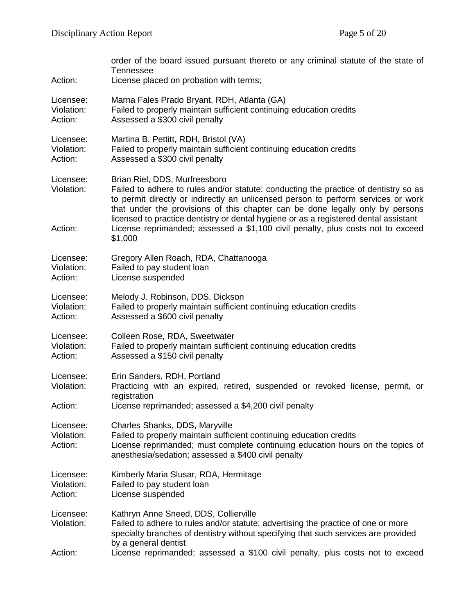| Action:                            | order of the board issued pursuant thereto or any criminal statute of the state of<br>Tennessee<br>License placed on probation with terms;                                                                                                                                                                                                                                                                                                                                        |
|------------------------------------|-----------------------------------------------------------------------------------------------------------------------------------------------------------------------------------------------------------------------------------------------------------------------------------------------------------------------------------------------------------------------------------------------------------------------------------------------------------------------------------|
| Licensee:                          | Marna Fales Prado Bryant, RDH, Atlanta (GA)                                                                                                                                                                                                                                                                                                                                                                                                                                       |
| Violation:                         | Failed to properly maintain sufficient continuing education credits                                                                                                                                                                                                                                                                                                                                                                                                               |
| Action:                            | Assessed a \$300 civil penalty                                                                                                                                                                                                                                                                                                                                                                                                                                                    |
| Licensee:                          | Martina B. Pettitt, RDH, Bristol (VA)                                                                                                                                                                                                                                                                                                                                                                                                                                             |
| Violation:                         | Failed to properly maintain sufficient continuing education credits                                                                                                                                                                                                                                                                                                                                                                                                               |
| Action:                            | Assessed a \$300 civil penalty                                                                                                                                                                                                                                                                                                                                                                                                                                                    |
| Licensee:<br>Violation:<br>Action: | Brian Riel, DDS, Murfreesboro<br>Failed to adhere to rules and/or statute: conducting the practice of dentistry so as<br>to permit directly or indirectly an unlicensed person to perform services or work<br>that under the provisions of this chapter can be done legally only by persons<br>licensed to practice dentistry or dental hygiene or as a registered dental assistant<br>License reprimanded; assessed a \$1,100 civil penalty, plus costs not to exceed<br>\$1,000 |
| Licensee:                          | Gregory Allen Roach, RDA, Chattanooga                                                                                                                                                                                                                                                                                                                                                                                                                                             |
| Violation:                         | Failed to pay student loan                                                                                                                                                                                                                                                                                                                                                                                                                                                        |
| Action:                            | License suspended                                                                                                                                                                                                                                                                                                                                                                                                                                                                 |
| Licensee:                          | Melody J. Robinson, DDS, Dickson                                                                                                                                                                                                                                                                                                                                                                                                                                                  |
| Violation:                         | Failed to properly maintain sufficient continuing education credits                                                                                                                                                                                                                                                                                                                                                                                                               |
| Action:                            | Assessed a \$600 civil penalty                                                                                                                                                                                                                                                                                                                                                                                                                                                    |
| Licensee:                          | Colleen Rose, RDA, Sweetwater                                                                                                                                                                                                                                                                                                                                                                                                                                                     |
| Violation:                         | Failed to properly maintain sufficient continuing education credits                                                                                                                                                                                                                                                                                                                                                                                                               |
| Action:                            | Assessed a \$150 civil penalty                                                                                                                                                                                                                                                                                                                                                                                                                                                    |
| Licensee:<br>Violation:<br>Action: | Erin Sanders, RDH, Portland<br>Practicing with an expired, retired, suspended or revoked license, permit, or<br>registration<br>License reprimanded; assessed a \$4,200 civil penalty                                                                                                                                                                                                                                                                                             |
| Licensee:<br>Violation:<br>Action: | Charles Shanks, DDS, Maryville<br>Failed to properly maintain sufficient continuing education credits<br>License reprimanded; must complete continuing education hours on the topics of<br>anesthesia/sedation; assessed a \$400 civil penalty                                                                                                                                                                                                                                    |
| Licensee:                          | Kimberly Maria Slusar, RDA, Hermitage                                                                                                                                                                                                                                                                                                                                                                                                                                             |
| Violation:                         | Failed to pay student loan                                                                                                                                                                                                                                                                                                                                                                                                                                                        |
| Action:                            | License suspended                                                                                                                                                                                                                                                                                                                                                                                                                                                                 |
| Licensee:<br>Violation:<br>Action: | Kathryn Anne Sneed, DDS, Collierville<br>Failed to adhere to rules and/or statute: advertising the practice of one or more<br>specialty branches of dentistry without specifying that such services are provided<br>by a general dentist<br>License reprimanded; assessed a \$100 civil penalty, plus costs not to exceed                                                                                                                                                         |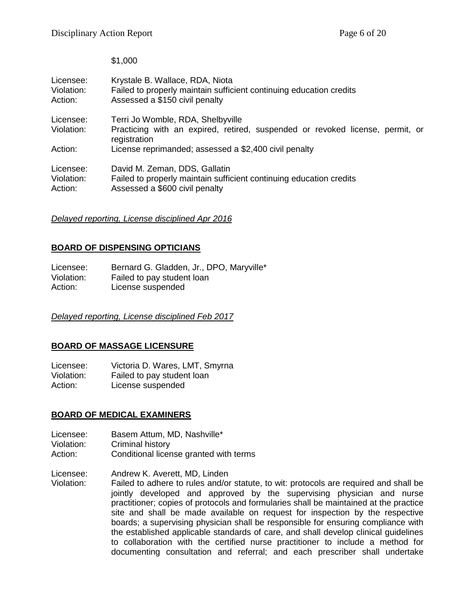\$1,000

| Licensee:<br>Violation:<br>Action: | Krystale B. Wallace, RDA, Niota<br>Failed to properly maintain sufficient continuing education credits<br>Assessed a \$150 civil penalty |
|------------------------------------|------------------------------------------------------------------------------------------------------------------------------------------|
| Licensee:                          | Terri Jo Womble, RDA, Shelbyville                                                                                                        |
| Violation:                         | Practicing with an expired, retired, suspended or revoked license, permit, or<br>registration                                            |
| Action:                            | License reprimanded; assessed a \$2,400 civil penalty                                                                                    |
| Licensee:<br>Violation:<br>Action: | David M. Zeman, DDS, Gallatin<br>Failed to properly maintain sufficient continuing education credits<br>Assessed a \$600 civil penalty   |

# *Delayed reporting, License disciplined Apr 2016*

# **BOARD OF DISPENSING OPTICIANS**

Licensee: Bernard G. Gladden, Jr., DPO, Maryville\* Violation: Failed to pay student loan Action: License suspended

*Delayed reporting, License disciplined Feb 2017*

# **BOARD OF MASSAGE LICENSURE**

Licensee: Victoria D. Wares, LMT, Smyrna Violation: Failed to pay student loan Action: License suspended

# **BOARD OF MEDICAL EXAMINERS**

- Licensee: Basem Attum, MD, Nashville\*
- Violation: Criminal history
- Action: Conditional license granted with terms

Licensee: Andrew K. Averett, MD, Linden<br>Violation: Failed to adhere to rules and/or

Failed to adhere to rules and/or statute, to wit: protocols are required and shall be jointly developed and approved by the supervising physician and nurse practitioner; copies of protocols and formularies shall be maintained at the practice site and shall be made available on request for inspection by the respective boards; a supervising physician shall be responsible for ensuring compliance with the established applicable standards of care, and shall develop clinical guidelines to collaboration with the certified nurse practitioner to include a method for documenting consultation and referral; and each prescriber shall undertake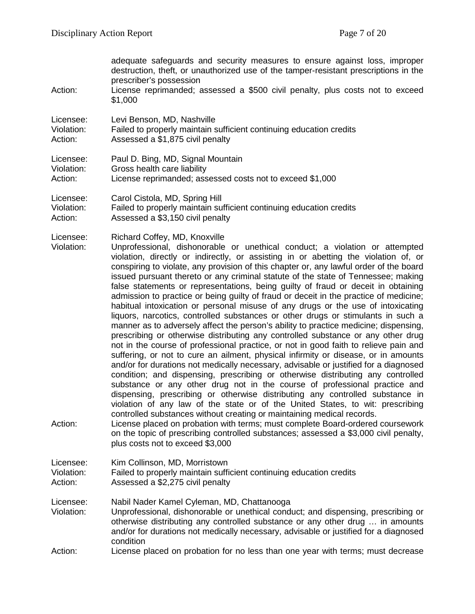| Action:                            | adequate safeguards and security measures to ensure against loss, improper<br>destruction, theft, or unauthorized use of the tamper-resistant prescriptions in the<br>prescriber's possession<br>License reprimanded; assessed a \$500 civil penalty, plus costs not to exceed<br>\$1,000                                                                                                                                                                                                                                                                                                                                                                                                                                                                                                                                                                                                                                                                                                                                                                                                                                                                                                                                                                                                                                                                                                                                                                                                                                                                                                                                                                                                                                                                                                                              |
|------------------------------------|------------------------------------------------------------------------------------------------------------------------------------------------------------------------------------------------------------------------------------------------------------------------------------------------------------------------------------------------------------------------------------------------------------------------------------------------------------------------------------------------------------------------------------------------------------------------------------------------------------------------------------------------------------------------------------------------------------------------------------------------------------------------------------------------------------------------------------------------------------------------------------------------------------------------------------------------------------------------------------------------------------------------------------------------------------------------------------------------------------------------------------------------------------------------------------------------------------------------------------------------------------------------------------------------------------------------------------------------------------------------------------------------------------------------------------------------------------------------------------------------------------------------------------------------------------------------------------------------------------------------------------------------------------------------------------------------------------------------------------------------------------------------------------------------------------------------|
| Licensee:                          | Levi Benson, MD, Nashville                                                                                                                                                                                                                                                                                                                                                                                                                                                                                                                                                                                                                                                                                                                                                                                                                                                                                                                                                                                                                                                                                                                                                                                                                                                                                                                                                                                                                                                                                                                                                                                                                                                                                                                                                                                             |
| Violation:                         | Failed to properly maintain sufficient continuing education credits                                                                                                                                                                                                                                                                                                                                                                                                                                                                                                                                                                                                                                                                                                                                                                                                                                                                                                                                                                                                                                                                                                                                                                                                                                                                                                                                                                                                                                                                                                                                                                                                                                                                                                                                                    |
| Action:                            | Assessed a \$1,875 civil penalty                                                                                                                                                                                                                                                                                                                                                                                                                                                                                                                                                                                                                                                                                                                                                                                                                                                                                                                                                                                                                                                                                                                                                                                                                                                                                                                                                                                                                                                                                                                                                                                                                                                                                                                                                                                       |
| Licensee:                          | Paul D. Bing, MD, Signal Mountain                                                                                                                                                                                                                                                                                                                                                                                                                                                                                                                                                                                                                                                                                                                                                                                                                                                                                                                                                                                                                                                                                                                                                                                                                                                                                                                                                                                                                                                                                                                                                                                                                                                                                                                                                                                      |
| Violation:                         | Gross health care liability                                                                                                                                                                                                                                                                                                                                                                                                                                                                                                                                                                                                                                                                                                                                                                                                                                                                                                                                                                                                                                                                                                                                                                                                                                                                                                                                                                                                                                                                                                                                                                                                                                                                                                                                                                                            |
| Action:                            | License reprimanded; assessed costs not to exceed \$1,000                                                                                                                                                                                                                                                                                                                                                                                                                                                                                                                                                                                                                                                                                                                                                                                                                                                                                                                                                                                                                                                                                                                                                                                                                                                                                                                                                                                                                                                                                                                                                                                                                                                                                                                                                              |
| Licensee:                          | Carol Cistola, MD, Spring Hill                                                                                                                                                                                                                                                                                                                                                                                                                                                                                                                                                                                                                                                                                                                                                                                                                                                                                                                                                                                                                                                                                                                                                                                                                                                                                                                                                                                                                                                                                                                                                                                                                                                                                                                                                                                         |
| Violation:                         | Failed to properly maintain sufficient continuing education credits                                                                                                                                                                                                                                                                                                                                                                                                                                                                                                                                                                                                                                                                                                                                                                                                                                                                                                                                                                                                                                                                                                                                                                                                                                                                                                                                                                                                                                                                                                                                                                                                                                                                                                                                                    |
| Action:                            | Assessed a \$3,150 civil penalty                                                                                                                                                                                                                                                                                                                                                                                                                                                                                                                                                                                                                                                                                                                                                                                                                                                                                                                                                                                                                                                                                                                                                                                                                                                                                                                                                                                                                                                                                                                                                                                                                                                                                                                                                                                       |
| Licensee:<br>Violation:<br>Action: | Richard Coffey, MD, Knoxville<br>Unprofessional, dishonorable or unethical conduct; a violation or attempted<br>violation, directly or indirectly, or assisting in or abetting the violation of, or<br>conspiring to violate, any provision of this chapter or, any lawful order of the board<br>issued pursuant thereto or any criminal statute of the state of Tennessee; making<br>false statements or representations, being guilty of fraud or deceit in obtaining<br>admission to practice or being guilty of fraud or deceit in the practice of medicine;<br>habitual intoxication or personal misuse of any drugs or the use of intoxicating<br>liquors, narcotics, controlled substances or other drugs or stimulants in such a<br>manner as to adversely affect the person's ability to practice medicine; dispensing,<br>prescribing or otherwise distributing any controlled substance or any other drug<br>not in the course of professional practice, or not in good faith to relieve pain and<br>suffering, or not to cure an ailment, physical infirmity or disease, or in amounts<br>and/or for durations not medically necessary, advisable or justified for a diagnosed<br>condition; and dispensing, prescribing or otherwise distributing any controlled<br>substance or any other drug not in the course of professional practice and<br>dispensing, prescribing or otherwise distributing any controlled substance in<br>violation of any law of the state or of the United States, to wit: prescribing<br>controlled substances without creating or maintaining medical records.<br>License placed on probation with terms; must complete Board-ordered coursework<br>on the topic of prescribing controlled substances; assessed a \$3,000 civil penalty,<br>plus costs not to exceed \$3,000 |
| Licensee:                          | Kim Collinson, MD, Morristown                                                                                                                                                                                                                                                                                                                                                                                                                                                                                                                                                                                                                                                                                                                                                                                                                                                                                                                                                                                                                                                                                                                                                                                                                                                                                                                                                                                                                                                                                                                                                                                                                                                                                                                                                                                          |
| Violation:                         | Failed to properly maintain sufficient continuing education credits                                                                                                                                                                                                                                                                                                                                                                                                                                                                                                                                                                                                                                                                                                                                                                                                                                                                                                                                                                                                                                                                                                                                                                                                                                                                                                                                                                                                                                                                                                                                                                                                                                                                                                                                                    |
| Action:                            | Assessed a \$2,275 civil penalty                                                                                                                                                                                                                                                                                                                                                                                                                                                                                                                                                                                                                                                                                                                                                                                                                                                                                                                                                                                                                                                                                                                                                                                                                                                                                                                                                                                                                                                                                                                                                                                                                                                                                                                                                                                       |
| Licensee:<br>Violation:            | Nabil Nader Kamel Cyleman, MD, Chattanooga<br>Unprofessional, dishonorable or unethical conduct; and dispensing, prescribing or<br>otherwise distributing any controlled substance or any other drug  in amounts<br>and/or for durations not medically necessary, advisable or justified for a diagnosed<br>condition                                                                                                                                                                                                                                                                                                                                                                                                                                                                                                                                                                                                                                                                                                                                                                                                                                                                                                                                                                                                                                                                                                                                                                                                                                                                                                                                                                                                                                                                                                  |
| Action:                            | License placed on probation for no less than one year with terms; must decrease                                                                                                                                                                                                                                                                                                                                                                                                                                                                                                                                                                                                                                                                                                                                                                                                                                                                                                                                                                                                                                                                                                                                                                                                                                                                                                                                                                                                                                                                                                                                                                                                                                                                                                                                        |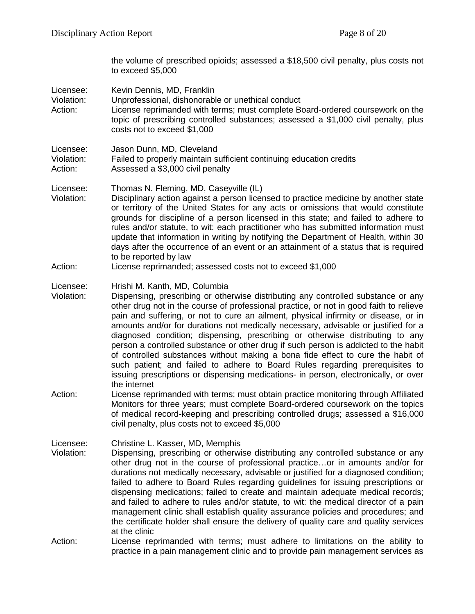|                                    | the volume of prescribed opioids; assessed a \$18,500 civil penalty, plus costs not<br>to exceed \$5,000                                                                                                                                                                                                                                                                                                                                                                                                                                                                                                                                                                                                                                                                                                                                    |
|------------------------------------|---------------------------------------------------------------------------------------------------------------------------------------------------------------------------------------------------------------------------------------------------------------------------------------------------------------------------------------------------------------------------------------------------------------------------------------------------------------------------------------------------------------------------------------------------------------------------------------------------------------------------------------------------------------------------------------------------------------------------------------------------------------------------------------------------------------------------------------------|
| Licensee:<br>Violation:<br>Action: | Kevin Dennis, MD, Franklin<br>Unprofessional, dishonorable or unethical conduct<br>License reprimanded with terms; must complete Board-ordered coursework on the<br>topic of prescribing controlled substances; assessed a \$1,000 civil penalty, plus<br>costs not to exceed \$1,000                                                                                                                                                                                                                                                                                                                                                                                                                                                                                                                                                       |
| Licensee:<br>Violation:<br>Action: | Jason Dunn, MD, Cleveland<br>Failed to properly maintain sufficient continuing education credits<br>Assessed a \$3,000 civil penalty                                                                                                                                                                                                                                                                                                                                                                                                                                                                                                                                                                                                                                                                                                        |
| Licensee:<br>Violation:            | Thomas N. Fleming, MD, Caseyville (IL)<br>Disciplinary action against a person licensed to practice medicine by another state<br>or territory of the United States for any acts or omissions that would constitute<br>grounds for discipline of a person licensed in this state; and failed to adhere to<br>rules and/or statute, to wit: each practitioner who has submitted information must<br>update that information in writing by notifying the Department of Health, within 30<br>days after the occurrence of an event or an attainment of a status that is required<br>to be reported by law                                                                                                                                                                                                                                       |
| Action:                            | License reprimanded; assessed costs not to exceed \$1,000                                                                                                                                                                                                                                                                                                                                                                                                                                                                                                                                                                                                                                                                                                                                                                                   |
| Licensee:<br>Violation:            | Hrishi M. Kanth, MD, Columbia<br>Dispensing, prescribing or otherwise distributing any controlled substance or any<br>other drug not in the course of professional practice, or not in good faith to relieve<br>pain and suffering, or not to cure an ailment, physical infirmity or disease, or in<br>amounts and/or for durations not medically necessary, advisable or justified for a<br>diagnosed condition; dispensing, prescribing or otherwise distributing to any<br>person a controlled substance or other drug if such person is addicted to the habit<br>of controlled substances without making a bona fide effect to cure the habit of<br>such patient; and failed to adhere to Board Rules regarding prerequisites to<br>issuing prescriptions or dispensing medications- in person, electronically, or over<br>the internet |
| Action:                            | License reprimanded with terms; must obtain practice monitoring through Affiliated<br>Monitors for three years; must complete Board-ordered coursework on the topics<br>of medical record-keeping and prescribing controlled drugs; assessed a \$16,000<br>civil penalty, plus costs not to exceed \$5,000                                                                                                                                                                                                                                                                                                                                                                                                                                                                                                                                  |
| Licensee:<br>Violation:            | Christine L. Kasser, MD, Memphis<br>Dispensing, prescribing or otherwise distributing any controlled substance or any<br>other drug not in the course of professional practiceor in amounts and/or for<br>durations not medically necessary, advisable or justified for a diagnosed condition;<br>failed to adhere to Board Rules regarding guidelines for issuing prescriptions or<br>dispensing medications; failed to create and maintain adequate medical records;<br>and failed to adhere to rules and/or statute, to wit: the medical director of a pain<br>management clinic shall establish quality assurance policies and procedures; and<br>the certificate holder shall ensure the delivery of quality care and quality services<br>at the clinic                                                                                |
| Action:                            | License reprimanded with terms; must adhere to limitations on the ability to<br>practice in a pain management clinic and to provide pain management services as                                                                                                                                                                                                                                                                                                                                                                                                                                                                                                                                                                                                                                                                             |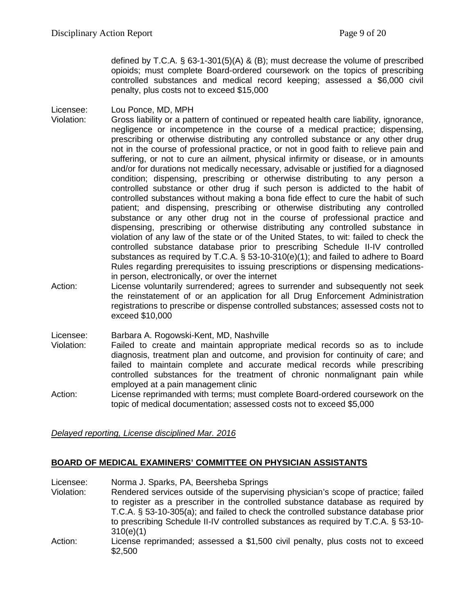defined by T.C.A. § 63-1-301(5)(A) & (B); must decrease the volume of prescribed opioids; must complete Board-ordered coursework on the topics of prescribing controlled substances and medical record keeping; assessed a \$6,000 civil penalty, plus costs not to exceed \$15,000

Licensee: Lou Ponce, MD, MPH

- Violation: Gross liability or a pattern of continued or repeated health care liability, ignorance, negligence or incompetence in the course of a medical practice; dispensing, prescribing or otherwise distributing any controlled substance or any other drug not in the course of professional practice, or not in good faith to relieve pain and suffering, or not to cure an ailment, physical infirmity or disease, or in amounts and/or for durations not medically necessary, advisable or justified for a diagnosed condition; dispensing, prescribing or otherwise distributing to any person a controlled substance or other drug if such person is addicted to the habit of controlled substances without making a bona fide effect to cure the habit of such patient; and dispensing, prescribing or otherwise distributing any controlled substance or any other drug not in the course of professional practice and dispensing, prescribing or otherwise distributing any controlled substance in violation of any law of the state or of the United States, to wit: failed to check the controlled substance database prior to prescribing Schedule II-IV controlled substances as required by T.C.A. § 53-10-310(e)(1); and failed to adhere to Board Rules regarding prerequisites to issuing prescriptions or dispensing medicationsin person, electronically, or over the internet
- Action: License voluntarily surrendered; agrees to surrender and subsequently not seek the reinstatement of or an application for all Drug Enforcement Administration registrations to prescribe or dispense controlled substances; assessed costs not to exceed \$10,000

Licensee: Barbara A. Rogowski-Kent, MD, Nashville

- Violation: Failed to create and maintain appropriate medical records so as to include diagnosis, treatment plan and outcome, and provision for continuity of care; and failed to maintain complete and accurate medical records while prescribing controlled substances for the treatment of chronic nonmalignant pain while employed at a pain management clinic
- Action: License reprimanded with terms; must complete Board-ordered coursework on the topic of medical documentation; assessed costs not to exceed \$5,000

*Delayed reporting, License disciplined Mar. 2016*

# **BOARD OF MEDICAL EXAMINERS' COMMITTEE ON PHYSICIAN ASSISTANTS**

Licensee: Norma J. Sparks, PA, Beersheba Springs Violation: Rendered services outside of the supervising physician's scope of practice; failed to register as a prescriber in the controlled substance database as required by T.C.A. § 53-10-305(a); and failed to check the controlled substance database prior to prescribing Schedule II-IV controlled substances as required by T.C.A. § 53-10- 310(e)(1) Action: License reprimanded; assessed a \$1,500 civil penalty, plus costs not to exceed \$2,500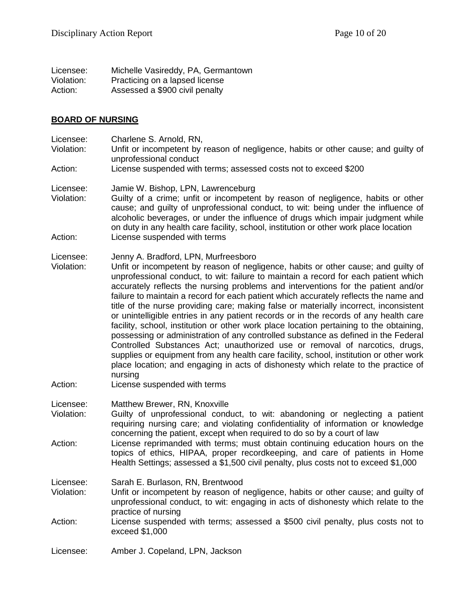| Licensee:  | Michelle Vasireddy, PA, Germantown |
|------------|------------------------------------|
| Violation: | Practicing on a lapsed license     |
| Action:    | Assessed a \$900 civil penalty     |

#### **BOARD OF NURSING**

- Licensee: Charlene S. Arnold, RN,
- Violation: Unfit or incompetent by reason of negligence, habits or other cause; and guilty of unprofessional conduct
- Action: License suspended with terms; assessed costs not to exceed \$200

Licensee: Jamie W. Bishop, LPN, Lawrenceburg

Violation: Guilty of a crime; unfit or incompetent by reason of negligence, habits or other cause; and guilty of unprofessional conduct, to wit: being under the influence of alcoholic beverages, or under the influence of drugs which impair judgment while on duty in any health care facility, school, institution or other work place location Action: License suspended with terms

#### Licensee: Jenny A. Bradford, LPN, Murfreesboro

- Violation: Unfit or incompetent by reason of negligence, habits or other cause; and guilty of unprofessional conduct, to wit: failure to maintain a record for each patient which accurately reflects the nursing problems and interventions for the patient and/or failure to maintain a record for each patient which accurately reflects the name and title of the nurse providing care; making false or materially incorrect, inconsistent or unintelligible entries in any patient records or in the records of any health care facility, school, institution or other work place location pertaining to the obtaining, possessing or administration of any controlled substance as defined in the Federal Controlled Substances Act; unauthorized use or removal of narcotics, drugs, supplies or equipment from any health care facility, school, institution or other work place location; and engaging in acts of dishonesty which relate to the practice of nursing
- Action: License suspended with terms
- Licensee: Matthew Brewer, RN, Knoxville
- Violation: Guilty of unprofessional conduct, to wit: abandoning or neglecting a patient requiring nursing care; and violating confidentiality of information or knowledge concerning the patient, except when required to do so by a court of law
- Action: License reprimanded with terms; must obtain continuing education hours on the topics of ethics, HIPAA, proper recordkeeping, and care of patients in Home Health Settings; assessed a \$1,500 civil penalty, plus costs not to exceed \$1,000

Licensee: Sarah E. Burlason, RN, Brentwood

- Violation: Unfit or incompetent by reason of negligence, habits or other cause; and guilty of unprofessional conduct, to wit: engaging in acts of dishonesty which relate to the practice of nursing
- Action: License suspended with terms; assessed a \$500 civil penalty, plus costs not to exceed \$1,000

Licensee: Amber J. Copeland, LPN, Jackson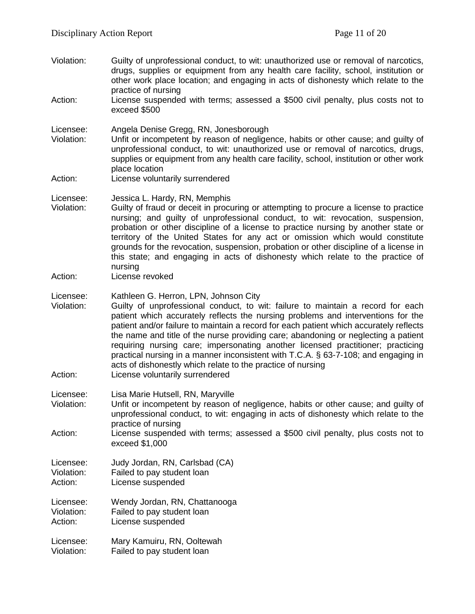- Violation: Guilty of unprofessional conduct, to wit: unauthorized use or removal of narcotics, drugs, supplies or equipment from any health care facility, school, institution or other work place location; and engaging in acts of dishonesty which relate to the practice of nursing
- Action: License suspended with terms; assessed a \$500 civil penalty, plus costs not to exceed \$500
- Licensee: Angela Denise Gregg, RN, Jonesborough Unfit or incompetent by reason of negligence, habits or other cause; and guilty of unprofessional conduct, to wit: unauthorized use or removal of narcotics, drugs, supplies or equipment from any health care facility, school, institution or other work place location Action: License voluntarily surrendered
- Licensee: Jessica L. Hardy, RN, Memphis
- Violation: Guilty of fraud or deceit in procuring or attempting to procure a license to practice nursing; and guilty of unprofessional conduct, to wit: revocation, suspension, probation or other discipline of a license to practice nursing by another state or territory of the United States for any act or omission which would constitute grounds for the revocation, suspension, probation or other discipline of a license in this state; and engaging in acts of dishonesty which relate to the practice of nursing
- Action: License revoked
- Licensee: Kathleen G. Herron, LPN, Johnson City<br>Violation: Guilty of unprofessional conduct, to w
- Guilty of unprofessional conduct, to wit: failure to maintain a record for each patient which accurately reflects the nursing problems and interventions for the patient and/or failure to maintain a record for each patient which accurately reflects the name and title of the nurse providing care; abandoning or neglecting a patient requiring nursing care; impersonating another licensed practitioner; practicing practical nursing in a manner inconsistent with T.C.A. § 63-7-108; and engaging in acts of dishonestly which relate to the practice of nursing
- Action: License voluntarily surrendered
- Licensee: Lisa Marie Hutsell, RN, Maryville
- Violation: Unfit or incompetent by reason of negligence, habits or other cause; and guilty of unprofessional conduct, to wit: engaging in acts of dishonesty which relate to the practice of nursing
- Action: License suspended with terms; assessed a \$500 civil penalty, plus costs not to exceed \$1,000
- Licensee: Judy Jordan, RN, Carlsbad (CA) Violation: Failed to pay student loan Action: License suspended
- Licensee: Wendy Jordan, RN, Chattanooga Violation: Failed to pay student loan Action: License suspended
- Licensee: Mary Kamuiru, RN, Ooltewah Violation: Failed to pay student loan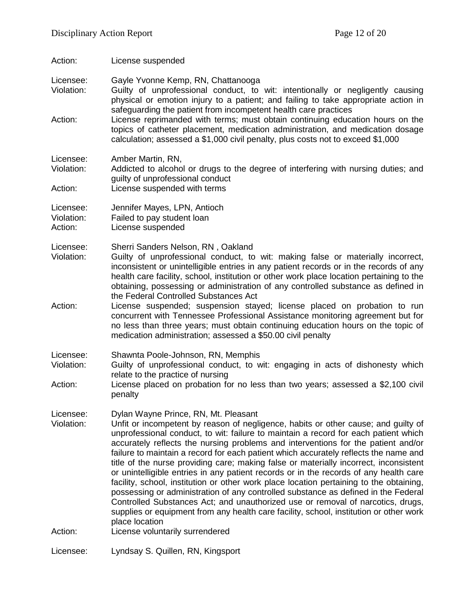Action: License suspended

Licensee: Gayle Yvonne Kemp, RN, Chattanooga Violation: Guilty of unprofessional conduct, to wit: intentionally or negligently causing physical or emotion injury to a patient; and failing to take appropriate action in safeguarding the patient from incompetent health care practices Action: License reprimanded with terms; must obtain continuing education hours on the topics of catheter placement, medication administration, and medication dosage calculation; assessed a \$1,000 civil penalty, plus costs not to exceed \$1,000 Licensee: Amber Martin, RN, Violation: Addicted to alcohol or drugs to the degree of interfering with nursing duties; and guilty of unprofessional conduct Action: License suspended with terms Licensee: Jennifer Mayes, LPN, Antioch Violation: Failed to pay student loan Action: License suspended Licensee: Sherri Sanders Nelson, RN , Oakland Violation: Guilty of unprofessional conduct, to wit: making false or materially incorrect, inconsistent or unintelligible entries in any patient records or in the records of any health care facility, school, institution or other work place location pertaining to the obtaining, possessing or administration of any controlled substance as defined in the Federal Controlled Substances Act Action: License suspended; suspension stayed; license placed on probation to run concurrent with Tennessee Professional Assistance monitoring agreement but for no less than three years; must obtain continuing education hours on the topic of medication administration; assessed a \$50.00 civil penalty Licensee: Shawnta Poole-Johnson, RN, Memphis Guilty of unprofessional conduct, to wit: engaging in acts of dishonesty which relate to the practice of nursing Action: License placed on probation for no less than two years; assessed a \$2,100 civil penalty Licensee: Dylan Wayne Prince, RN, Mt. Pleasant Violation: Unfit or incompetent by reason of negligence, habits or other cause; and guilty of unprofessional conduct, to wit: failure to maintain a record for each patient which accurately reflects the nursing problems and interventions for the patient and/or failure to maintain a record for each patient which accurately reflects the name and title of the nurse providing care; making false or materially incorrect, inconsistent or unintelligible entries in any patient records or in the records of any health care facility, school, institution or other work place location pertaining to the obtaining, possessing or administration of any controlled substance as defined in the Federal Controlled Substances Act; and unauthorized use or removal of narcotics, drugs, supplies or equipment from any health care facility, school, institution or other work place location Action: License voluntarily surrendered Licensee: Lyndsay S. Quillen, RN, Kingsport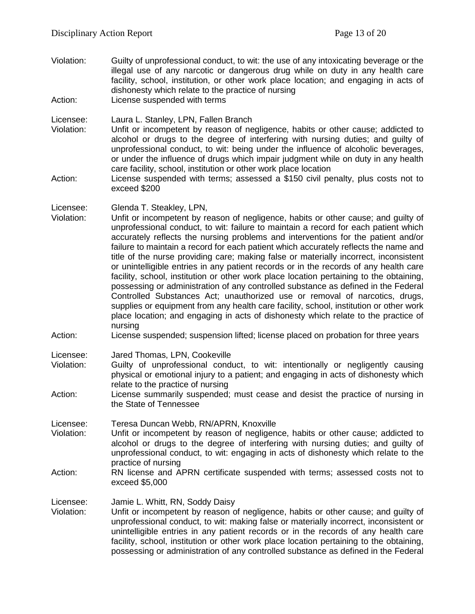- Violation: Guilty of unprofessional conduct, to wit: the use of any intoxicating beverage or the illegal use of any narcotic or dangerous drug while on duty in any health care facility, school, institution, or other work place location; and engaging in acts of dishonesty which relate to the practice of nursing
- Action: License suspended with terms

Licensee: Laura L. Stanley, LPN, Fallen Branch

- Violation: Unfit or incompetent by reason of negligence, habits or other cause; addicted to alcohol or drugs to the degree of interfering with nursing duties; and guilty of unprofessional conduct, to wit: being under the influence of alcoholic beverages, or under the influence of drugs which impair judgment while on duty in any health care facility, school, institution or other work place location
- Action: License suspended with terms; assessed a \$150 civil penalty, plus costs not to exceed \$200
- Licensee: Glenda T. Steakley, LPN,
- Violation: Unfit or incompetent by reason of negligence, habits or other cause; and guilty of unprofessional conduct, to wit: failure to maintain a record for each patient which accurately reflects the nursing problems and interventions for the patient and/or failure to maintain a record for each patient which accurately reflects the name and title of the nurse providing care; making false or materially incorrect, inconsistent or unintelligible entries in any patient records or in the records of any health care facility, school, institution or other work place location pertaining to the obtaining, possessing or administration of any controlled substance as defined in the Federal Controlled Substances Act; unauthorized use or removal of narcotics, drugs, supplies or equipment from any health care facility, school, institution or other work place location; and engaging in acts of dishonesty which relate to the practice of nursing
- Action: License suspended; suspension lifted; license placed on probation for three years

Licensee: Jared Thomas, LPN, Cookeville

- Violation: Guilty of unprofessional conduct, to wit: intentionally or negligently causing physical or emotional injury to a patient; and engaging in acts of dishonesty which relate to the practice of nursing
- Action: License summarily suspended; must cease and desist the practice of nursing in the State of Tennessee

Licensee: Teresa Duncan Webb, RN/APRN, Knoxville<br>Violation: Unfit or incompetent by reason of negligen

- Unfit or incompetent by reason of negligence, habits or other cause; addicted to alcohol or drugs to the degree of interfering with nursing duties; and guilty of unprofessional conduct, to wit: engaging in acts of dishonesty which relate to the practice of nursing
- Action: RN license and APRN certificate suspended with terms; assessed costs not to exceed \$5,000

Licensee: Jamie L. Whitt, RN, Soddy Daisy

Violation: Unfit or incompetent by reason of negligence, habits or other cause; and guilty of unprofessional conduct, to wit: making false or materially incorrect, inconsistent or unintelligible entries in any patient records or in the records of any health care facility, school, institution or other work place location pertaining to the obtaining, possessing or administration of any controlled substance as defined in the Federal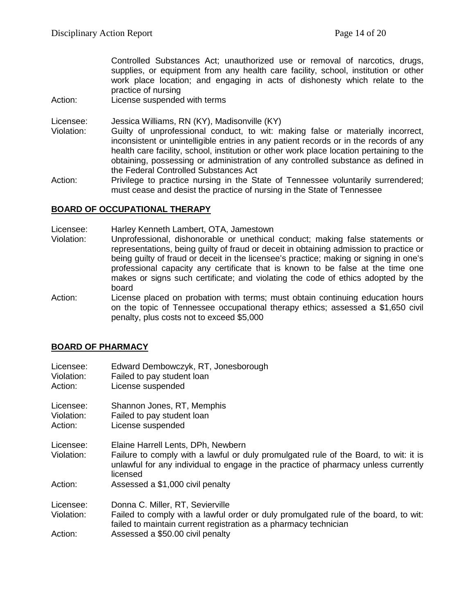Controlled Substances Act; unauthorized use or removal of narcotics, drugs, supplies, or equipment from any health care facility, school, institution or other work place location; and engaging in acts of dishonesty which relate to the practice of nursing

Action: License suspended with terms

Licensee: Jessica Williams, RN (KY), Madisonville (KY)

- Violation: Guilty of unprofessional conduct, to wit: making false or materially incorrect, inconsistent or unintelligible entries in any patient records or in the records of any health care facility, school, institution or other work place location pertaining to the obtaining, possessing or administration of any controlled substance as defined in the Federal Controlled Substances Act
- Action: Privilege to practice nursing in the State of Tennessee voluntarily surrendered; must cease and desist the practice of nursing in the State of Tennessee

#### **BOARD OF OCCUPATIONAL THERAPY**

- Licensee: Harley Kenneth Lambert, OTA, Jamestown
- Violation: Unprofessional, dishonorable or unethical conduct; making false statements or representations, being guilty of fraud or deceit in obtaining admission to practice or being guilty of fraud or deceit in the licensee's practice; making or signing in one's professional capacity any certificate that is known to be false at the time one makes or signs such certificate; and violating the code of ethics adopted by the board
- Action: License placed on probation with terms; must obtain continuing education hours on the topic of Tennessee occupational therapy ethics; assessed a \$1,650 civil penalty, plus costs not to exceed \$5,000

# **BOARD OF PHARMACY**

| Licensee:                       | Edward Dembowczyk, RT, Jonesborough |  |
|---------------------------------|-------------------------------------|--|
| <i><u><b>Miolation:</b></u></i> | Eqiled to now student loop          |  |

Violation: Failed to pay student loan Action: License suspended

Licensee: Shannon Jones, RT, Memphis

Violation: Failed to pay student loan

- Action: License suspended
- Licensee: Elaine Harrell Lents, DPh, Newbern

Violation: Failure to comply with a lawful or duly promulgated rule of the Board, to wit: it is unlawful for any individual to engage in the practice of pharmacy unless currently licensed

Action: Assessed a \$1,000 civil penalty

Licensee: Donna C. Miller, RT, Sevierville

Violation: Failed to comply with a lawful order or duly promulgated rule of the board, to wit: failed to maintain current registration as a pharmacy technician

Action: Assessed a \$50.00 civil penalty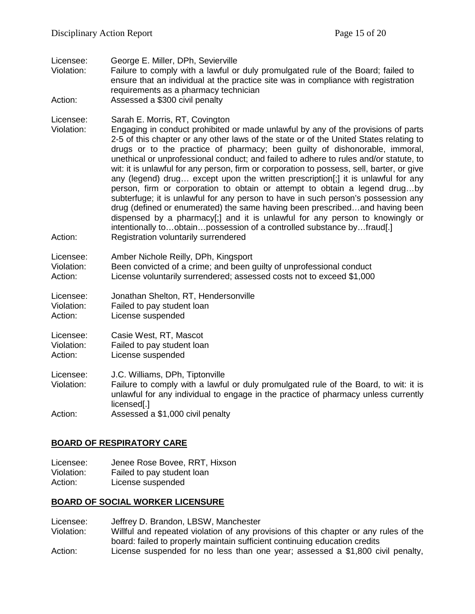| Licensee:<br>Violation:            | George E. Miller, DPh, Sevierville<br>Failure to comply with a lawful or duly promulgated rule of the Board; failed to<br>ensure that an individual at the practice site was in compliance with registration<br>requirements as a pharmacy technician                                                                                                                                                                                                                                                                                                                                                                                                                                                                                                                                                                                                                                                                                                                                                                     |  |
|------------------------------------|---------------------------------------------------------------------------------------------------------------------------------------------------------------------------------------------------------------------------------------------------------------------------------------------------------------------------------------------------------------------------------------------------------------------------------------------------------------------------------------------------------------------------------------------------------------------------------------------------------------------------------------------------------------------------------------------------------------------------------------------------------------------------------------------------------------------------------------------------------------------------------------------------------------------------------------------------------------------------------------------------------------------------|--|
| Action:                            | Assessed a \$300 civil penalty                                                                                                                                                                                                                                                                                                                                                                                                                                                                                                                                                                                                                                                                                                                                                                                                                                                                                                                                                                                            |  |
| Licensee:<br>Violation:<br>Action: | Sarah E. Morris, RT, Covington<br>Engaging in conduct prohibited or made unlawful by any of the provisions of parts<br>2-5 of this chapter or any other laws of the state or of the United States relating to<br>drugs or to the practice of pharmacy; been guilty of dishonorable, immoral,<br>unethical or unprofessional conduct; and failed to adhere to rules and/or statute, to<br>wit: it is unlawful for any person, firm or corporation to possess, sell, barter, or give<br>any (legend) drug except upon the written prescription[;] it is unlawful for any<br>person, firm or corporation to obtain or attempt to obtain a legend drugby<br>subterfuge; it is unlawful for any person to have in such person's possession any<br>drug (defined or enumerated) the same having been prescribedand having been<br>dispensed by a pharmacy[;] and it is unlawful for any person to knowingly or<br>intentionally toobtainpossession of a controlled substance byfraud[.]<br>Registration voluntarily surrendered |  |
| Licensee:                          |                                                                                                                                                                                                                                                                                                                                                                                                                                                                                                                                                                                                                                                                                                                                                                                                                                                                                                                                                                                                                           |  |
| Violation:<br>Action:              | Amber Nichole Reilly, DPh, Kingsport<br>Been convicted of a crime; and been guilty of unprofessional conduct<br>License voluntarily surrendered; assessed costs not to exceed \$1,000                                                                                                                                                                                                                                                                                                                                                                                                                                                                                                                                                                                                                                                                                                                                                                                                                                     |  |
| Licensee:<br>Violation:<br>Action: | Jonathan Shelton, RT, Hendersonville<br>Failed to pay student loan<br>License suspended                                                                                                                                                                                                                                                                                                                                                                                                                                                                                                                                                                                                                                                                                                                                                                                                                                                                                                                                   |  |
| Licensee:<br>Violation:<br>Action: | Casie West, RT, Mascot<br>Failed to pay student loan<br>License suspended                                                                                                                                                                                                                                                                                                                                                                                                                                                                                                                                                                                                                                                                                                                                                                                                                                                                                                                                                 |  |
| Licensee:<br>Violation:            | J.C. Williams, DPh, Tiptonville<br>Failure to comply with a lawful or duly promulgated rule of the Board, to wit: it is<br>unlawful for any individual to engage in the practice of pharmacy unless currently<br>licensed[.]                                                                                                                                                                                                                                                                                                                                                                                                                                                                                                                                                                                                                                                                                                                                                                                              |  |
| Action:                            | Assessed a \$1,000 civil penalty                                                                                                                                                                                                                                                                                                                                                                                                                                                                                                                                                                                                                                                                                                                                                                                                                                                                                                                                                                                          |  |

# **BOARD OF RESPIRATORY CARE**

Licensee: Jenee Rose Bovee, RRT, Hixson<br>Violation: Failed to pay student loan Violation: Failed to pay student loan<br>Action: License suspended License suspended

# **BOARD OF SOCIAL WORKER LICENSURE**

- Licensee: Jeffrey D. Brandon, LBSW, Manchester<br>Violation: Willful and repeated violation of any pro
- Willful and repeated violation of any provisions of this chapter or any rules of the board: failed to properly maintain sufficient continuing education credits
- Action: License suspended for no less than one year; assessed a \$1,800 civil penalty,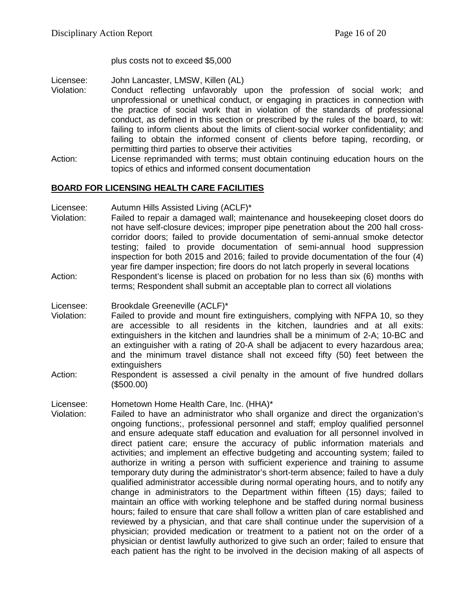plus costs not to exceed \$5,000

- Licensee: John Lancaster, LMSW, Killen (AL)
- Violation: Conduct reflecting unfavorably upon the profession of social work; and unprofessional or unethical conduct, or engaging in practices in connection with the practice of social work that in violation of the standards of professional conduct, as defined in this section or prescribed by the rules of the board, to wit: failing to inform clients about the limits of client-social worker confidentiality; and failing to obtain the informed consent of clients before taping, recording, or permitting third parties to observe their activities
- Action: License reprimanded with terms; must obtain continuing education hours on the topics of ethics and informed consent documentation

# **BOARD FOR LICENSING HEALTH CARE FACILITIES**

- Licensee: Autumn Hills Assisted Living (ACLF)\*
- Violation: Failed to repair a damaged wall; maintenance and housekeeping closet doors do not have self-closure devices; improper pipe penetration about the 200 hall crosscorridor doors; failed to provide documentation of semi-annual smoke detector testing; failed to provide documentation of semi-annual hood suppression inspection for both 2015 and 2016; failed to provide documentation of the four (4) year fire damper inspection; fire doors do not latch properly in several locations
- Action: Respondent's license is placed on probation for no less than six (6) months with terms; Respondent shall submit an acceptable plan to correct all violations
- Licensee: Brookdale Greeneville (ACLF)\*
- Violation: Failed to provide and mount fire extinguishers, complying with NFPA 10, so they are accessible to all residents in the kitchen, laundries and at all exits: extinguishers in the kitchen and laundries shall be a minimum of 2-A; 10-BC and an extinguisher with a rating of 20-A shall be adjacent to every hazardous area; and the minimum travel distance shall not exceed fifty (50) feet between the **extinguishers**
- Action: Respondent is assessed a civil penalty in the amount of five hundred dollars (\$500.00)
- Licensee: Hometown Home Health Care, Inc. (HHA)\*
- Violation: Failed to have an administrator who shall organize and direct the organization's ongoing functions;, professional personnel and staff; employ qualified personnel and ensure adequate staff education and evaluation for all personnel involved in direct patient care; ensure the accuracy of public information materials and activities; and implement an effective budgeting and accounting system; failed to authorize in writing a person with sufficient experience and training to assume temporary duty during the administrator's short-term absence; failed to have a duly qualified administrator accessible during normal operating hours, and to notify any change in administrators to the Department within fifteen (15) days; failed to maintain an office with working telephone and be staffed during normal business hours; failed to ensure that care shall follow a written plan of care established and reviewed by a physician, and that care shall continue under the supervision of a physician; provided medication or treatment to a patient not on the order of a physician or dentist lawfully authorized to give such an order; failed to ensure that each patient has the right to be involved in the decision making of all aspects of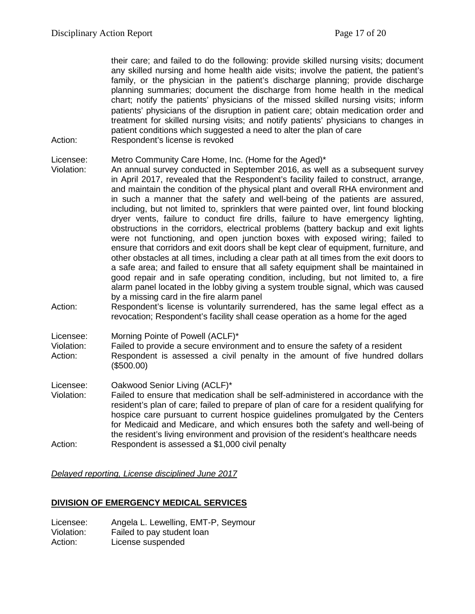their care; and failed to do the following: provide skilled nursing visits; document any skilled nursing and home health aide visits; involve the patient, the patient's family, or the physician in the patient's discharge planning; provide discharge planning summaries; document the discharge from home health in the medical chart; notify the patients' physicians of the missed skilled nursing visits; inform patients' physicians of the disruption in patient care; obtain medication order and treatment for skilled nursing visits; and notify patients' physicians to changes in patient conditions which suggested a need to alter the plan of care Action: Respondent's license is revoked

Licensee: Metro Community Care Home, Inc. (Home for the Aged)\*

- Violation: An annual survey conducted in September 2016, as well as a subsequent survey in April 2017, revealed that the Respondent's facility failed to construct, arrange, and maintain the condition of the physical plant and overall RHA environment and in such a manner that the safety and well-being of the patients are assured, including, but not limited to, sprinklers that were painted over, lint found blocking dryer vents, failure to conduct fire drills, failure to have emergency lighting, obstructions in the corridors, electrical problems (battery backup and exit lights were not functioning, and open junction boxes with exposed wiring; failed to ensure that corridors and exit doors shall be kept clear of equipment, furniture, and other obstacles at all times, including a clear path at all times from the exit doors to a safe area; and failed to ensure that all safety equipment shall be maintained in good repair and in safe operating condition, including, but not limited to, a fire alarm panel located in the lobby giving a system trouble signal, which was caused by a missing card in the fire alarm panel
- Action: Respondent's license is voluntarily surrendered, has the same legal effect as a revocation; Respondent's facility shall cease operation as a home for the aged

Licensee: Morning Pointe of Powell (ACLF)\*

- Violation: Failed to provide a secure environment and to ensure the safety of a resident Action: Respondent is assessed a civil penalty in the amount of five hundred dollars (\$500.00)
- Licensee: Oakwood Senior Living (ACLF)\* Violation: Failed to ensure that medication shall be self-administered in accordance with the
- resident's plan of care; failed to prepare of plan of care for a resident qualifying for hospice care pursuant to current hospice guidelines promulgated by the Centers for Medicaid and Medicare, and which ensures both the safety and well-being of the resident's living environment and provision of the resident's healthcare needs Action: Respondent is assessed a \$1,000 civil penalty

*Delayed reporting, License disciplined June 2017*

# **DIVISION OF EMERGENCY MEDICAL SERVICES**

Licensee: Angela L. Lewelling, EMT-P, Seymour Violation: Failed to pay student loan Action: License suspended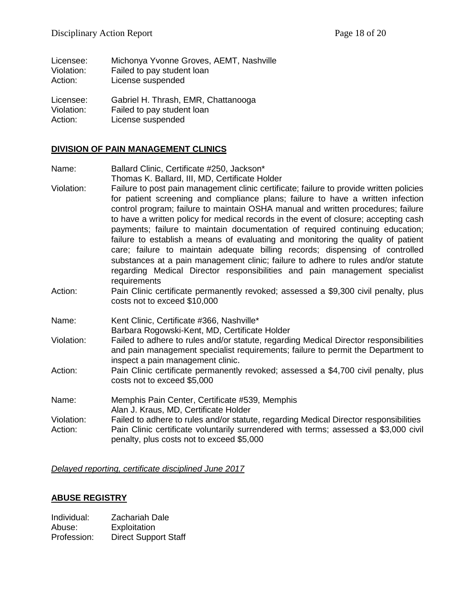| Licensee:  | Michonya Yvonne Groves, AEMT, Nashville |
|------------|-----------------------------------------|
| Violation: | Failed to pay student loan              |
| Action:    | License suspended                       |
| Licensee:  | Gabriel H. Thrash, EMR, Chattanooga     |

Violation: Failed to pay student loan Action: License suspended

# **DIVISION OF PAIN MANAGEMENT CLINICS**

- Name: Ballard Clinic, Certificate #250, Jackson\* Thomas K. Ballard, III, MD, Certificate Holder
- Violation: Failure to post pain management clinic certificate; failure to provide written policies for patient screening and compliance plans; failure to have a written infection control program; failure to maintain OSHA manual and written procedures; failure to have a written policy for medical records in the event of closure; accepting cash payments; failure to maintain documentation of required continuing education; failure to establish a means of evaluating and monitoring the quality of patient care; failure to maintain adequate billing records; dispensing of controlled substances at a pain management clinic; failure to adhere to rules and/or statute regarding Medical Director responsibilities and pain management specialist requirements
- Action: Pain Clinic certificate permanently revoked; assessed a \$9,300 civil penalty, plus costs not to exceed \$10,000
- Name: Kent Clinic, Certificate #366, Nashville\* Barbara Rogowski-Kent, MD, Certificate Holder
- Violation: Failed to adhere to rules and/or statute, regarding Medical Director responsibilities and pain management specialist requirements; failure to permit the Department to inspect a pain management clinic.
- Action: Pain Clinic certificate permanently revoked; assessed a \$4,700 civil penalty, plus costs not to exceed \$5,000
- Name: Memphis Pain Center, Certificate #539, Memphis Alan J. Kraus, MD, Certificate Holder
- Violation: Failed to adhere to rules and/or statute, regarding Medical Director responsibilities Action: Pain Clinic certificate voluntarily surrendered with terms; assessed a \$3,000 civil penalty, plus costs not to exceed \$5,000

*Delayed reporting, certificate disciplined June 2017*

# **ABUSE REGISTRY**

| Individual: | <b>Zachariah Dale</b>       |
|-------------|-----------------------------|
| Abuse:      | Exploitation                |
| Profession: | <b>Direct Support Staff</b> |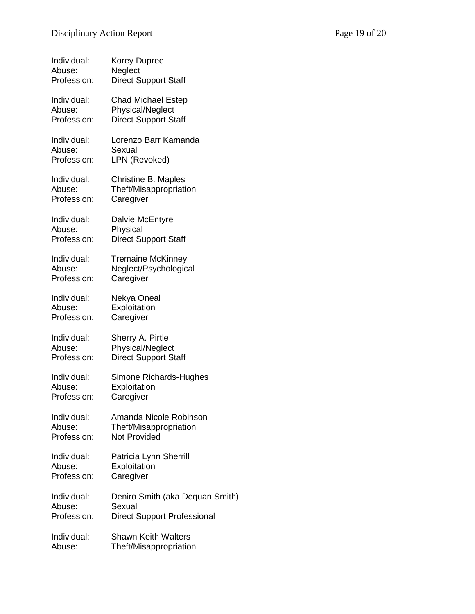| Individual: | <b>Korey Dupree</b>                |
|-------------|------------------------------------|
| Abuse:      | Neglect                            |
| Profession: | <b>Direct Support Staff</b>        |
| Individual: | <b>Chad Michael Estep</b>          |
| Abuse:      | Physical/Neglect                   |
| Profession: | <b>Direct Support Staff</b>        |
| Individual: | Lorenzo Barr Kamanda               |
| Abuse:      | Sexual                             |
| Profession: | LPN (Revoked)                      |
| Individual: | Christine B. Maples                |
| Abuse:      | Theft/Misappropriation             |
| Profession: | Caregiver                          |
| Individual: | Dalvie McEntyre                    |
| Abuse:      | Physical                           |
| Profession: | <b>Direct Support Staff</b>        |
| Individual: | <b>Tremaine McKinney</b>           |
| Abuse:      | Neglect/Psychological              |
| Profession: | Caregiver                          |
| Individual: | Nekya Oneal                        |
| Abuse:      | Exploitation                       |
| Profession: | Caregiver                          |
| Individual: | Sherry A. Pirtle                   |
| Abuse:      | Physical/Neglect                   |
| Profession: | <b>Direct Support Staff</b>        |
| Individual: | Simone Richards-Hughes             |
| Abuse:      | Exploitation                       |
| Profession: | Caregiver                          |
| Individual: | Amanda Nicole Robinson             |
| Abuse:      | Theft/Misappropriation             |
| Profession: | Not Provided                       |
| Individual: | Patricia Lynn Sherrill             |
| Abuse:      | Exploitation                       |
| Profession: | Caregiver                          |
| Individual: | Deniro Smith (aka Dequan Smith)    |
| Abuse:      | Sexual                             |
| Profession: | <b>Direct Support Professional</b> |
| Individual: | <b>Shawn Keith Walters</b>         |
| Abuse:      | Theft/Misappropriation             |